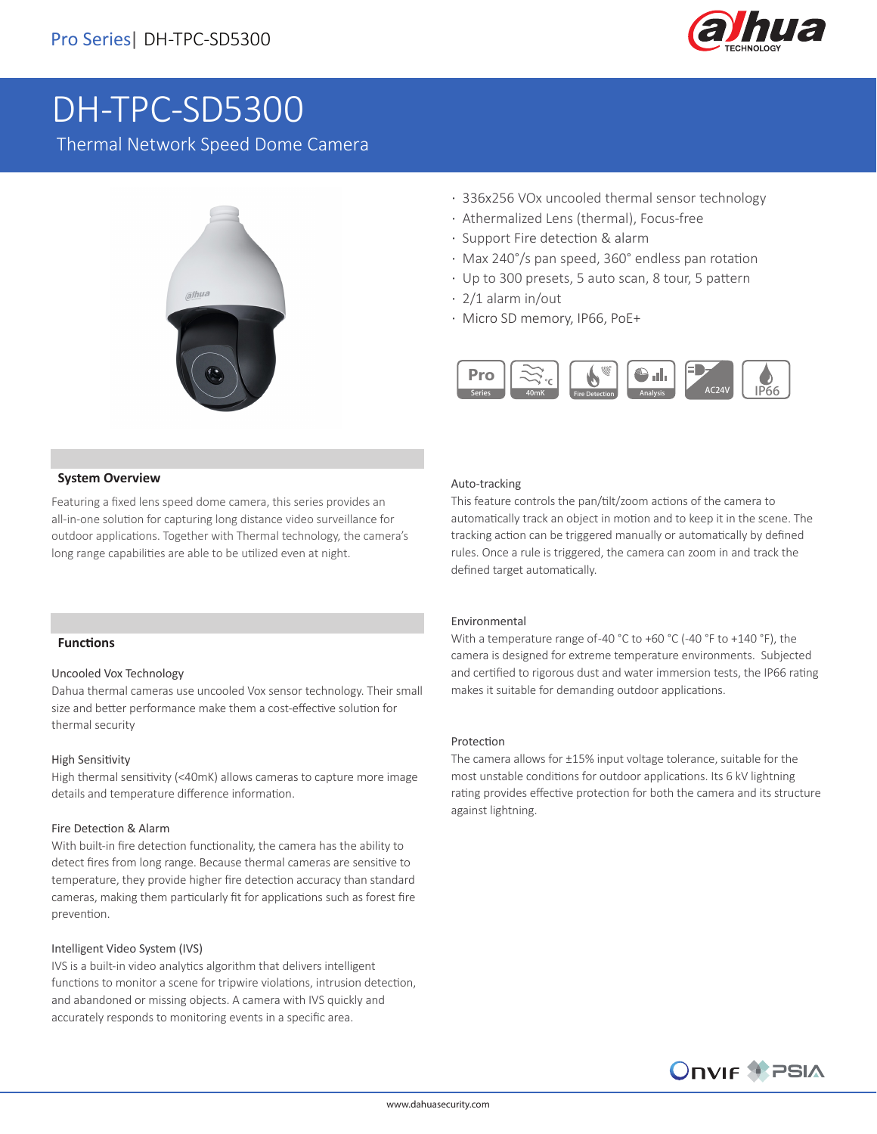

# DH-TPC-SD5300

Thermal Network Speed Dome Camera



- · 336x256 VOx uncooled thermal sensor technology
- · Athermalized Lens (thermal), Focus-free
- · Support Fire detection & alarm
- · Max 240°/s pan speed, 360° endless pan rotation
- · Up to 300 presets, 5 auto scan, 8 tour, 5 pattern
- · 2/1 alarm in/out
- · Micro SD memory, IP66, PoE+



### **System Overview**

Featuring a fixed lens speed dome camera, this series provides an all-in-one solution for capturing long distance video surveillance for outdoor applications. Together with Thermal technology, the camera's long range capabilities are able to be utilized even at night.

### Auto-tracking

This feature controls the pan/tilt/zoom actions of the camera to automatically track an object in motion and to keep it in the scene. The tracking action can be triggered manually or automatically by defined rules. Once a rule is triggered, the camera can zoom in and track the defined target automatically.

### **Functions**

### Uncooled Vox Technology

Dahua thermal cameras use uncooled Vox sensor technology. Their small size and better performance make them a cost-effective solution for thermal security

### High Sensitivity

High thermal sensitivity (<40mK) allows cameras to capture more image details and temperature difference information.

### Fire Detection & Alarm

With built-in fire detection functionality, the camera has the ability to detect fires from long range. Because thermal cameras are sensitive to temperature, they provide higher fire detection accuracy than standard cameras, making them particularly fit for applications such as forest fire prevention.

### Intelligent Video System (IVS)

IVS is a built-in video analytics algorithm that delivers intelligent functions to monitor a scene for tripwire violations, intrusion detection, and abandoned or missing objects. A camera with IVS quickly and accurately responds to monitoring events in a specific area.

### Environmental

With a temperature range of -40 °C to +60 °C (-40 °F to +140 °F), the camera is designed for extreme temperature environments. Subjected and certified to rigorous dust and water immersion tests, the IP66 rating makes it suitable for demanding outdoor applications.

### Protection

The camera allows for ±15% input voltage tolerance, suitable for the most unstable conditions for outdoor applications. Its 6 kV lightning rating provides effective protection for both the camera and its structure against lightning.

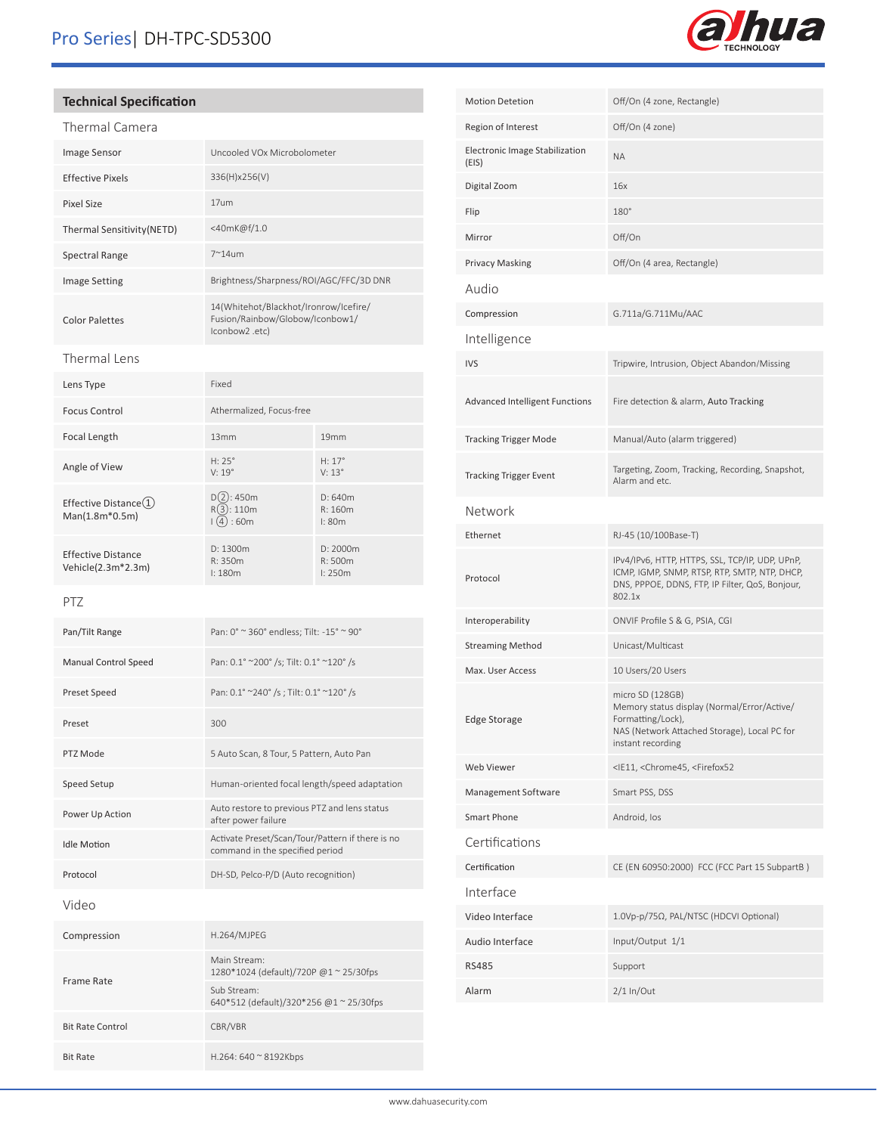## Pro Series| DH-TPC-SD5300



### **Technical Specification**

| Thermal Camera             |                                                                                             |
|----------------------------|---------------------------------------------------------------------------------------------|
| Image Sensor               | Uncooled VOx Microbolometer                                                                 |
| <b>Effective Pixels</b>    | 336(H)x256(V)                                                                               |
| Pixel Size                 | 17um                                                                                        |
| Thermal Sensitivity (NETD) | <40mK@f/1.0                                                                                 |
| Spectral Range             | $7^{\sim}14$ um                                                                             |
| <b>Image Setting</b>       | Brightness/Sharpness/ROI/AGC/FFC/3D DNR                                                     |
| <b>Color Palettes</b>      | 14(Whitehot/Blackhot/Ironrow/Icefire/<br>Fusion/Rainbow/Globow/Iconbow1/<br>(lconbow2 .etc. |
|                            |                                                                                             |

### Thermal Lens

| Lens Type                                       | Fixed                                  |                                    |
|-------------------------------------------------|----------------------------------------|------------------------------------|
| Focus Control                                   | Athermalized, Focus-free               |                                    |
| Focal Length                                    | 13mm                                   | 19mm                               |
| Angle of View                                   | $H: 25^\circ$<br>$V: 19^{\circ}$       | $H: 17^{\circ}$<br>$V: 13^{\circ}$ |
| Effective Distance(1)<br>$Man(1.8m*0.5m)$       | $D(2)$ : 450m<br>R(3): 110m<br>(4):60m | D: 640m<br>R:160m<br>$\pm 80m$     |
| <b>Effective Distance</b><br>Vehicle(2.3m*2.3m) | D: 1300m<br>R: 350m<br>$\pm 180m$      | D: 2000m<br>R:500m<br>1:250m       |

### PTZ

| Pan/Tilt Range              | Pan: 0° ~ 360° endless; Tilt: -15° ~ 90°                                            |  |
|-----------------------------|-------------------------------------------------------------------------------------|--|
| <b>Manual Control Speed</b> | Pan: 0.1° ~200° /s; Tilt: 0.1° ~120° /s                                             |  |
| Preset Speed                | Pan: 0.1° ~240° /s; Tilt: 0.1° ~120° /s                                             |  |
| Preset                      | 300                                                                                 |  |
| PTZ Mode                    | 5 Auto Scan, 8 Tour, 5 Pattern, Auto Pan                                            |  |
| Speed Setup                 | Human-oriented focal length/speed adaptation                                        |  |
| Power Up Action             | Auto restore to previous PTZ and lens status<br>after power failure                 |  |
| <b>Idle Motion</b>          | Activate Preset/Scan/Tour/Pattern if there is no<br>command in the specified period |  |
| Protocol                    | DH-SD, Pelco-P/D (Auto recognition)                                                 |  |
| Video                       |                                                                                     |  |
| Compression                 | H.264/MJPEG                                                                         |  |
| Frame Rate                  | Main Stream:<br>1280*1024 (default)/720P @1~25/30fps                                |  |
|                             | Sub Stream:<br>640*512 (default)/320*256 @1 ~ 25/30fps                              |  |
| <b>Bit Rate Control</b>     | CBR/VBR                                                                             |  |
| <b>Bit Rate</b>             | H.264: 640 $\approx$ 8192Kbps                                                       |  |

| <b>Motion Detetion</b>                  | Off/On (4 zone, Rectangle)                                                                                                                                    |
|-----------------------------------------|---------------------------------------------------------------------------------------------------------------------------------------------------------------|
| Region of Interest                      | Off/On (4 zone)                                                                                                                                               |
| Electronic Image Stabilization<br>(EIS) | <b>NA</b>                                                                                                                                                     |
| Digital Zoom                            | 16x                                                                                                                                                           |
| Flip                                    | 180°                                                                                                                                                          |
| Mirror                                  | Off/On                                                                                                                                                        |
| Privacy Masking                         | Off/On (4 area, Rectangle)                                                                                                                                    |
| Audio                                   |                                                                                                                                                               |
| Compression                             | G.711a/G.711Mu/AAC                                                                                                                                            |
| Intelligence                            |                                                                                                                                                               |
| <b>IVS</b>                              | Tripwire, Intrusion, Object Abandon/Missing                                                                                                                   |
| <b>Advanced Intelligent Functions</b>   | Fire detection & alarm, Auto Tracking                                                                                                                         |
| <b>Tracking Trigger Mode</b>            | Manual/Auto (alarm triggered)                                                                                                                                 |
| <b>Tracking Trigger Event</b>           | Targeting, Zoom, Tracking, Recording, Snapshot,<br>Alarm and etc.                                                                                             |
| Network                                 |                                                                                                                                                               |
| Ethernet                                | RJ-45 (10/100Base-T)                                                                                                                                          |
| Protocol                                | IPv4/IPv6, HTTP, HTTPS, SSL, TCP/IP, UDP, UPnP,<br>ICMP, IGMP, SNMP, RTSP, RTP, SMTP, NTP, DHCP,<br>DNS, PPPOE, DDNS, FTP, IP Filter, QoS, Bonjour,<br>802.1x |
| Interoperability                        | ONVIF Profile S & G, PSIA, CGI                                                                                                                                |
| <b>Streaming Method</b>                 | Unicast/Multicast                                                                                                                                             |
| Max. User Access                        | 10 Users/20 Users                                                                                                                                             |
| <b>Edge Storage</b>                     | micro SD (128GB)<br>Memory status display (Normal/Error/Active/<br>Formatting/Lock),                                                                          |
|                                         | NAS (Network Attached Storage), Local PC for<br>instant recording                                                                                             |
| Web Viewer                              | <ie11, <chrome45,="" <firefox52<="" td=""></ie11,>                                                                                                            |
| Management Software                     | Smart PSS, DSS                                                                                                                                                |
| Smart Phone                             | Android, los                                                                                                                                                  |
| Certifications                          |                                                                                                                                                               |
| Certification                           | CE (EN 60950:2000) FCC (FCC Part 15 SubpartB)                                                                                                                 |
| Interface                               |                                                                                                                                                               |
| Video Interface                         | 1.0Vp-p/75Ω, PAL/NTSC (HDCVI Optional)                                                                                                                        |
| Audio Interface                         | Input/Output 1/1                                                                                                                                              |
| <b>RS485</b>                            | Support                                                                                                                                                       |